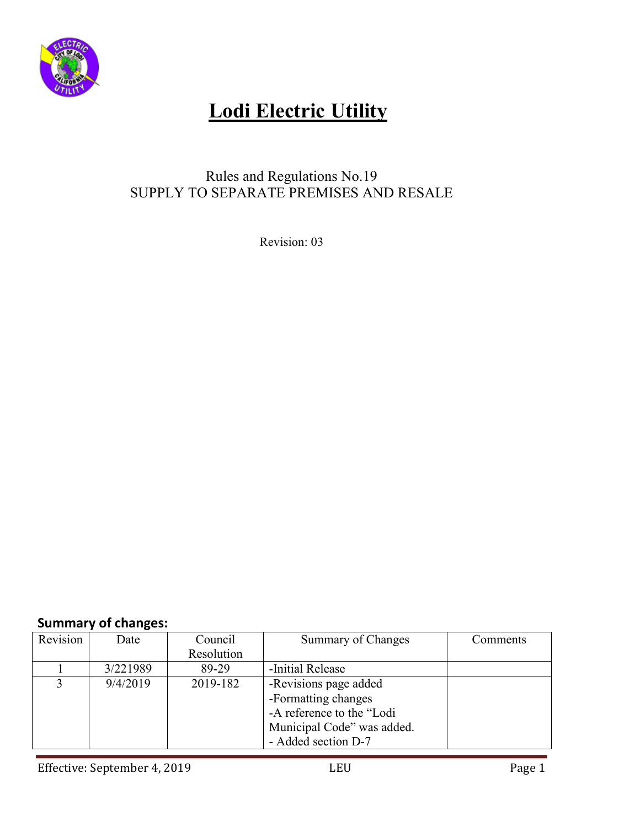

### Rules and Regulations No.19 SUPPLY TO SEPARATE PREMISES AND RESALE

Revision: 03

### **Summary of changes:**

| Revision | Date     | Council    | <b>Summary of Changes</b>  | Comments |
|----------|----------|------------|----------------------------|----------|
|          |          | Resolution |                            |          |
|          | 3/221989 | 89-29      | -Initial Release           |          |
|          | 9/4/2019 | 2019-182   | -Revisions page added      |          |
|          |          |            | -Formatting changes        |          |
|          |          |            | -A reference to the "Lodi  |          |
|          |          |            | Municipal Code" was added. |          |
|          |          |            | - Added section D-7        |          |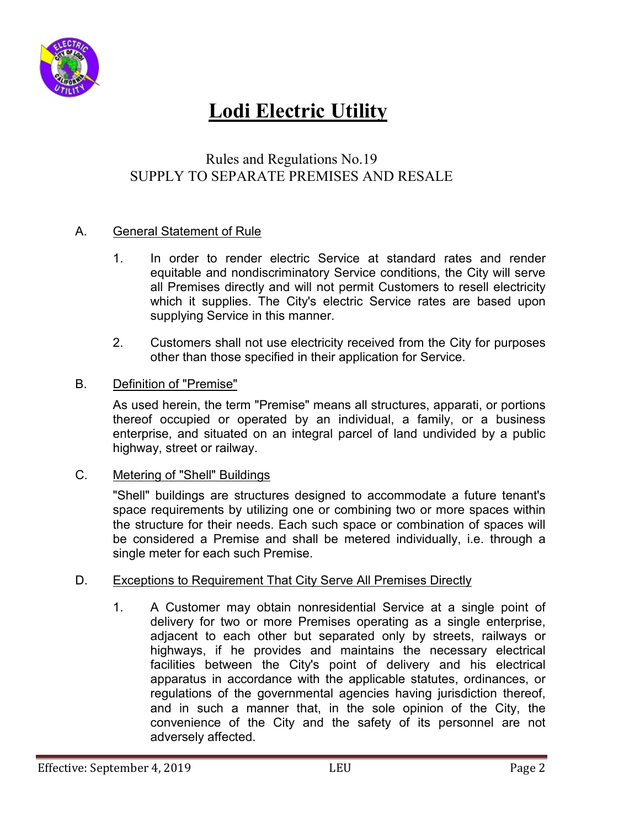

### Rules and Regulations No.19 SUPPLY TO SEPARATE PREMISES AND RESALE

#### A. General Statement of Rule

- 1. In order to render electric Service at standard rates and render equitable and nondiscriminatory Service conditions, the City will serve all Premises directly and will not permit Customers to resell electricity which it supplies. The City's electric Service rates are based upon supplying Service in this manner.
- 2. Customers shall not use electricity received from the City for purposes other than those specified in their application for Service.

#### B. Definition of "Premise"

 As used herein, the term "Premise" means all structures, apparati, or portions thereof occupied or operated by an individual, a family, or a business enterprise, and situated on an integral parcel of land undivided by a public highway, street or railway.

#### C. Metering of "Shell" Buildings

 "Shell" buildings are structures designed to accommodate a future tenant's space requirements by utilizing one or combining two or more spaces within the structure for their needs. Each such space or combination of spaces will be considered a Premise and shall be metered individually, i.e. through a single meter for each such Premise.

#### D. Exceptions to Requirement That City Serve All Premises Directly

 1. A Customer may obtain nonresidential Service at a single point of delivery for two or more Premises operating as a single enterprise, adjacent to each other but separated only by streets, railways or highways, if he provides and maintains the necessary electrical facilities between the City's point of delivery and his electrical apparatus in accordance with the applicable statutes, ordinances, or regulations of the governmental agencies having jurisdiction thereof, and in such a manner that, in the sole opinion of the City, the convenience of the City and the safety of its personnel are not adversely affected.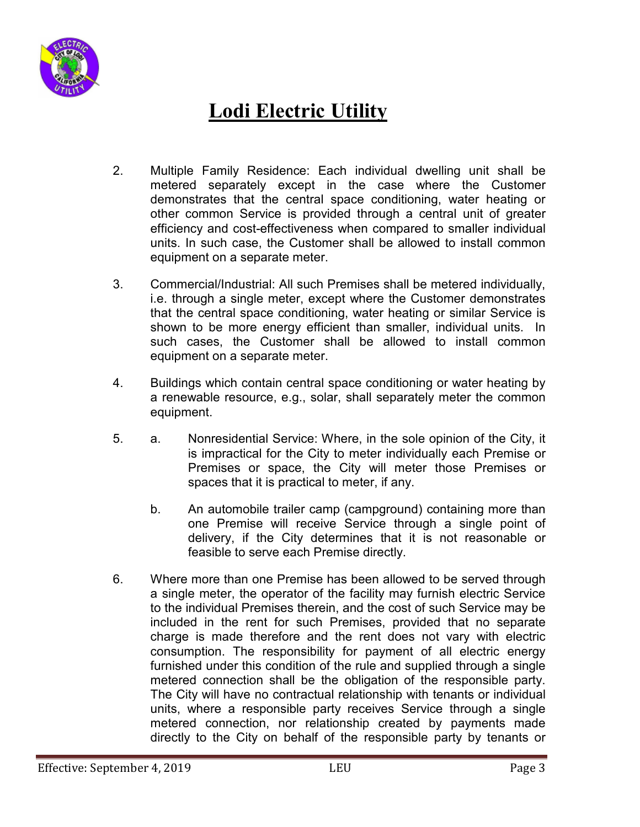

- 2. Multiple Family Residence: Each individual dwelling unit shall be metered separately except in the case where the Customer demonstrates that the central space conditioning, water heating or other common Service is provided through a central unit of greater efficiency and cost-effectiveness when compared to smaller individual units. In such case, the Customer shall be allowed to install common equipment on a separate meter.
- 3. Commercial/Industrial: All such Premises shall be metered individually, i.e. through a single meter, except where the Customer demonstrates that the central space conditioning, water heating or similar Service is shown to be more energy efficient than smaller, individual units. In such cases, the Customer shall be allowed to install common equipment on a separate meter.
- 4. Buildings which contain central space conditioning or water heating by a renewable resource, e.g., solar, shall separately meter the common equipment.
- 5. a. Nonresidential Service: Where, in the sole opinion of the City, it is impractical for the City to meter individually each Premise or Premises or space, the City will meter those Premises or spaces that it is practical to meter, if any.
	- b. An automobile trailer camp (campground) containing more than one Premise will receive Service through a single point of delivery, if the City determines that it is not reasonable or feasible to serve each Premise directly.
- 6. Where more than one Premise has been allowed to be served through a single meter, the operator of the facility may furnish electric Service to the individual Premises therein, and the cost of such Service may be included in the rent for such Premises, provided that no separate charge is made therefore and the rent does not vary with electric consumption. The responsibility for payment of all electric energy furnished under this condition of the rule and supplied through a single metered connection shall be the obligation of the responsible party. The City will have no contractual relationship with tenants or individual units, where a responsible party receives Service through a single metered connection, nor relationship created by payments made directly to the City on behalf of the responsible party by tenants or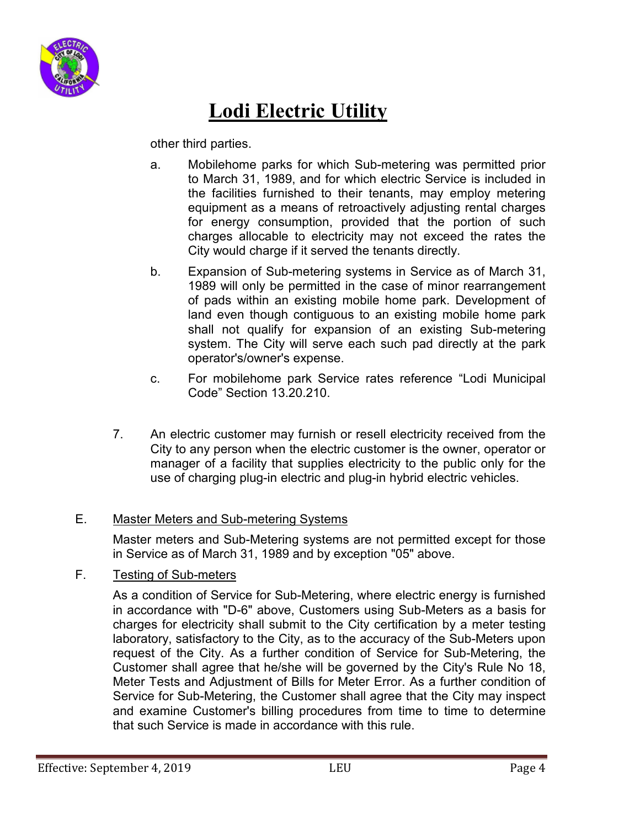

other third parties.

- a. Mobilehome parks for which Sub-metering was permitted prior to March 31, 1989, and for which electric Service is included in the facilities furnished to their tenants, may employ metering equipment as a means of retroactively adjusting rental charges for energy consumption, provided that the portion of such charges allocable to electricity may not exceed the rates the City would charge if it served the tenants directly.
- b. Expansion of Sub-metering systems in Service as of March 31, 1989 will only be permitted in the case of minor rearrangement of pads within an existing mobile home park. Development of land even though contiguous to an existing mobile home park shall not qualify for expansion of an existing Sub-metering system. The City will serve each such pad directly at the park operator's/owner's expense.
- c. For mobilehome park Service rates reference "Lodi Municipal Code" Section 13.20.210.
- 7. An electric customer may furnish or resell electricity received from the City to any person when the electric customer is the owner, operator or manager of a facility that supplies electricity to the public only for the use of charging plug-in electric and plug-in hybrid electric vehicles.

#### E. Master Meters and Sub-metering Systems

Master meters and Sub-Metering systems are not permitted except for those in Service as of March 31, 1989 and by exception "05" above.

#### F. Testing of Sub-meters

As a condition of Service for Sub-Metering, where electric energy is furnished in accordance with "D-6" above, Customers using Sub-Meters as a basis for charges for electricity shall submit to the City certification by a meter testing laboratory, satisfactory to the City, as to the accuracy of the Sub-Meters upon request of the City. As a further condition of Service for Sub-Metering, the Customer shall agree that he/she will be governed by the City's Rule No 18, Meter Tests and Adjustment of Bills for Meter Error. As a further condition of Service for Sub-Metering, the Customer shall agree that the City may inspect and examine Customer's billing procedures from time to time to determine that such Service is made in accordance with this rule.